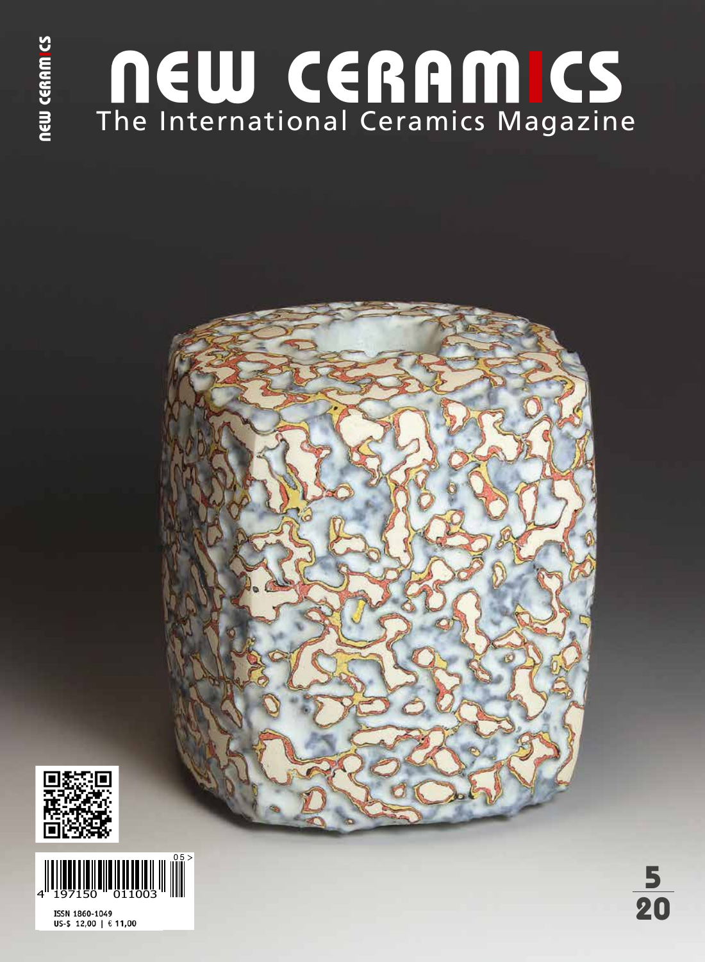## The International Ceramics Magazine NEW CERAMICS







ISSN 1860-1049 US-\$ 12,00 | € 11,00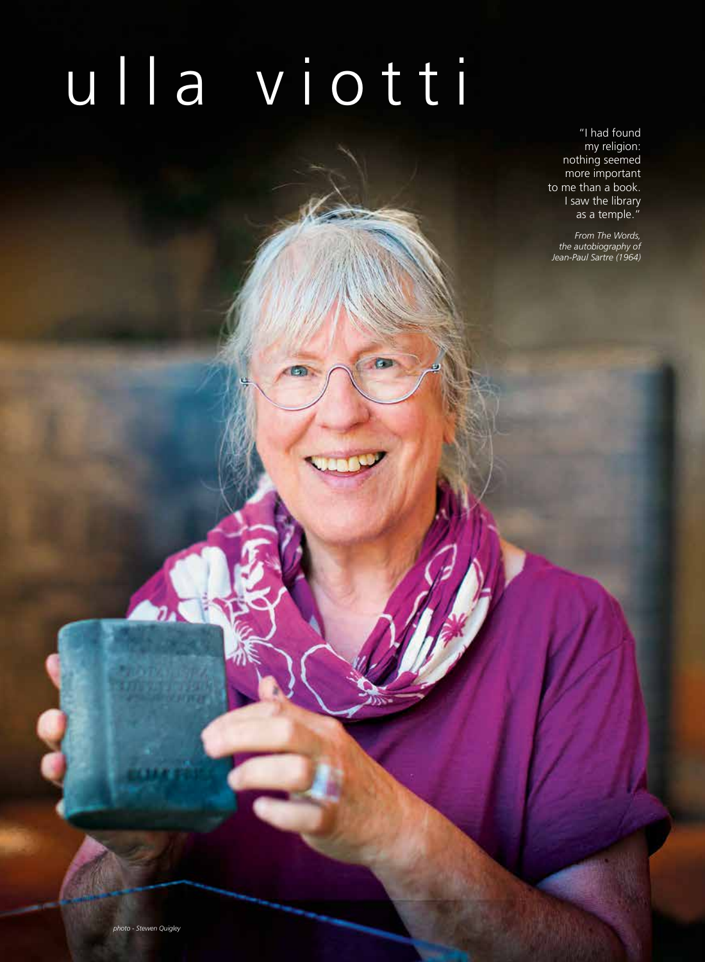# u l l a v i o t t i

G

 $\left( 5, \right)$ 

"I had found my religion: nothing seemed more important to me than a book. I saw the library as a temple."

*From The Words, the autobiography of Jean-Paul Sartre (1964)*